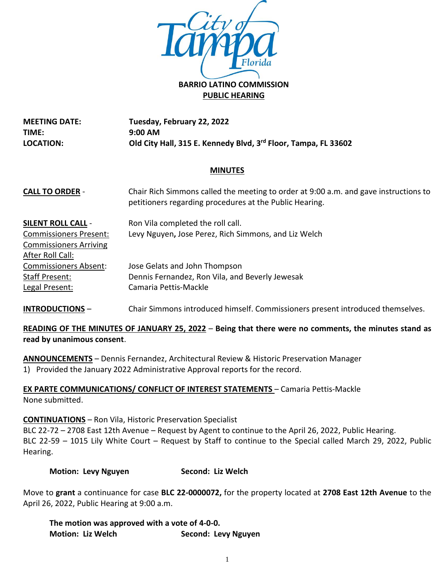

**PUBLIC HEARING**

**MEETING DATE: TIME: LOCATION: Tuesday, February 22, 2022 9:00 AM Old City Hall, 315 E. Kennedy Blvd, 3rd Floor, Tampa, FL 33602**

## **MINUTES**

| <b>CALL TO ORDER -</b>        | Chair Rich Simmons called the meeting to order at 9:00 a.m. and gave instructions to<br>petitioners regarding procedures at the Public Hearing. |
|-------------------------------|-------------------------------------------------------------------------------------------------------------------------------------------------|
| <b>SILENT ROLL CALL -</b>     | Ron Vila completed the roll call.                                                                                                               |
| <b>Commissioners Present:</b> | Levy Nguyen, Jose Perez, Rich Simmons, and Liz Welch                                                                                            |
| <b>Commissioners Arriving</b> |                                                                                                                                                 |
| After Roll Call:              |                                                                                                                                                 |
| <b>Commissioners Absent:</b>  | Jose Gelats and John Thompson                                                                                                                   |
| Staff Present:                | Dennis Fernandez, Ron Vila, and Beverly Jewesak                                                                                                 |
| Legal Present:                | Camaria Pettis-Mackle                                                                                                                           |

**INTRODUCTIONS** – Chair Simmons introduced himself. Commissioners present introduced themselves.

# **READING OF THE MINUTES OF JANUARY 25, 2022** – **Being that there were no comments, the minutes stand as read by unanimous consent**.

**ANNOUNCEMENTS** – Dennis Fernandez, Architectural Review & Historic Preservation Manager 1) Provided the January 2022 Administrative Approval reports for the record.

**EX PARTE COMMUNICATIONS/ CONFLICT OF INTEREST STATEMENTS** – Camaria Pettis-Mackle None submitted.

## **CONTINUATIONS** – Ron Vila, Historic Preservation Specialist

BLC 22-72 – 2708 East 12th Avenue – Request by Agent to continue to the April 26, 2022, Public Hearing. BLC 22-59 – 1015 Lily White Court – Request by Staff to continue to the Special called March 29, 2022, Public Hearing.

**Motion: Levy Nguyen Second: Liz Welch**

Move to **grant** a continuance for case **BLC 22-0000072,** for the property located at **2708 East 12th Avenue** to the April 26, 2022, Public Hearing at 9:00 a.m.

**The motion was approved with a vote of 4-0-0. Motion: Liz Welch Second: Levy Nguyen**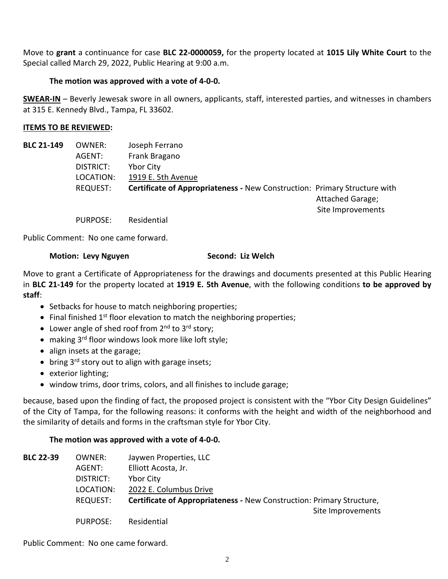Move to **grant** a continuance for case **BLC 22-0000059,** for the property located at **1015 Lily White Court** to the Special called March 29, 2022, Public Hearing at 9:00 a.m.

## **The motion was approved with a vote of 4-0-0.**

**SWEAR-IN** – Beverly Jewesak swore in all owners, applicants, staff, interested parties, and witnesses in chambers at 315 E. Kennedy Blvd., Tampa, FL 33602.

## **ITEMS TO BE REVIEWED:**

| <b>BLC 21-149</b> | OWNER:    | Joseph Ferrano                                                                   |                   |
|-------------------|-----------|----------------------------------------------------------------------------------|-------------------|
|                   | AGENT:    | Frank Bragano                                                                    |                   |
|                   | DISTRICT: | <b>Ybor City</b>                                                                 |                   |
|                   | LOCATION: | 1919 E. 5th Avenue                                                               |                   |
|                   | REQUEST:  | <b>Certificate of Appropriateness - New Construction: Primary Structure with</b> |                   |
|                   |           |                                                                                  | Attached Garage;  |
|                   |           |                                                                                  | Site Improvements |

PURPOSE: Residential

Public Comment: No one came forward.

## **Motion: Levy Nguyen Second: Liz Welch**

Move to grant a Certificate of Appropriateness for the drawings and documents presented at this Public Hearing in **BLC 21-149** for the property located at **1919 E. 5th Avenue**, with the following conditions **to be approved by staff**:

- Setbacks for house to match neighboring properties;
- $\bullet$  Final finished 1<sup>st</sup> floor elevation to match the neighboring properties;
- Lower angle of shed roof from  $2^{nd}$  to  $3^{rd}$  story;
- making 3 rd floor windows look more like loft style;
- align insets at the garage;
- bring  $3^{rd}$  story out to align with garage insets;
- exterior lighting;
- window trims, door trims, colors, and all finishes to include garage;

because, based upon the finding of fact, the proposed project is consistent with the "Ybor City Design Guidelines" of the City of Tampa, for the following reasons: it conforms with the height and width of the neighborhood and the similarity of details and forms in the craftsman style for Ybor City.

## **The motion was approved with a vote of 4-0-0.**

| <b>BLC 22-39</b> | OWNER:    | Jaywen Properties, LLC                                                |
|------------------|-----------|-----------------------------------------------------------------------|
|                  | AGENT:    | Elliott Acosta, Jr.                                                   |
|                  | DISTRICT: | Ybor City                                                             |
|                  | LOCATION: | 2022 E. Columbus Drive                                                |
|                  | REQUEST:  | Certificate of Appropriateness - New Construction: Primary Structure, |
|                  |           | Site Improvements                                                     |
|                  | PURPOSE:  | Residential                                                           |

Public Comment: No one came forward.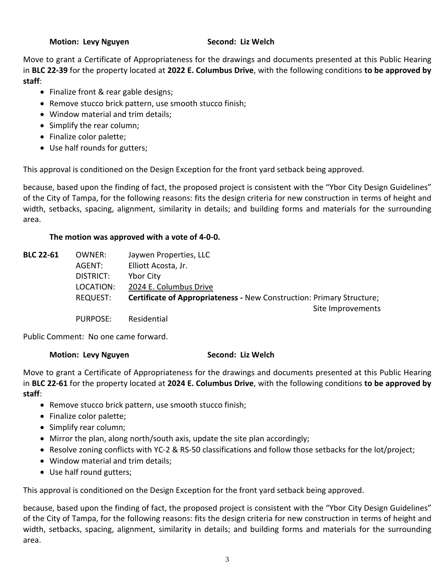### **Motion: Levy Nguyen Second: Liz Welch**

Move to grant a Certificate of Appropriateness for the drawings and documents presented at this Public Hearing in **BLC 22-39** for the property located at **2022 E. Columbus Drive**, with the following conditions **to be approved by staff**:

- Finalize front & rear gable designs;
- Remove stucco brick pattern, use smooth stucco finish;
- Window material and trim details;
- Simplify the rear column;
- Finalize color palette;
- Use half rounds for gutters;

This approval is conditioned on the Design Exception for the front yard setback being approved.

because, based upon the finding of fact, the proposed project is consistent with the "Ybor City Design Guidelines" of the City of Tampa, for the following reasons: fits the design criteria for new construction in terms of height and width, setbacks, spacing, alignment, similarity in details; and building forms and materials for the surrounding area.

## **The motion was approved with a vote of 4-0-0.**

| <b>BLC 22-61</b> | OWNER:    | Jaywen Properties, LLC                                                       |
|------------------|-----------|------------------------------------------------------------------------------|
|                  | AGENT:    | Elliott Acosta, Jr.                                                          |
|                  | DISTRICT: | <b>Ybor City</b>                                                             |
|                  | LOCATION: | 2024 E. Columbus Drive                                                       |
|                  | REQUEST:  | <b>Certificate of Appropriateness - New Construction: Primary Structure;</b> |
|                  |           | Site Improvements                                                            |
|                  | PURPOSE:  | Residential                                                                  |

Public Comment: No one came forward.

## **Motion: Levy Nguyen Second: Liz Welch**

Move to grant a Certificate of Appropriateness for the drawings and documents presented at this Public Hearing in **BLC 22-61** for the property located at **2024 E. Columbus Drive**, with the following conditions **to be approved by staff**:

- Remove stucco brick pattern, use smooth stucco finish;
- Finalize color palette;
- Simplify rear column;
- Mirror the plan, along north/south axis, update the site plan accordingly;
- Resolve zoning conflicts with YC-2 & RS-50 classifications and follow those setbacks for the lot/project;
- Window material and trim details;
- Use half round gutters;

This approval is conditioned on the Design Exception for the front yard setback being approved.

because, based upon the finding of fact, the proposed project is consistent with the "Ybor City Design Guidelines" of the City of Tampa, for the following reasons: fits the design criteria for new construction in terms of height and width, setbacks, spacing, alignment, similarity in details; and building forms and materials for the surrounding area.